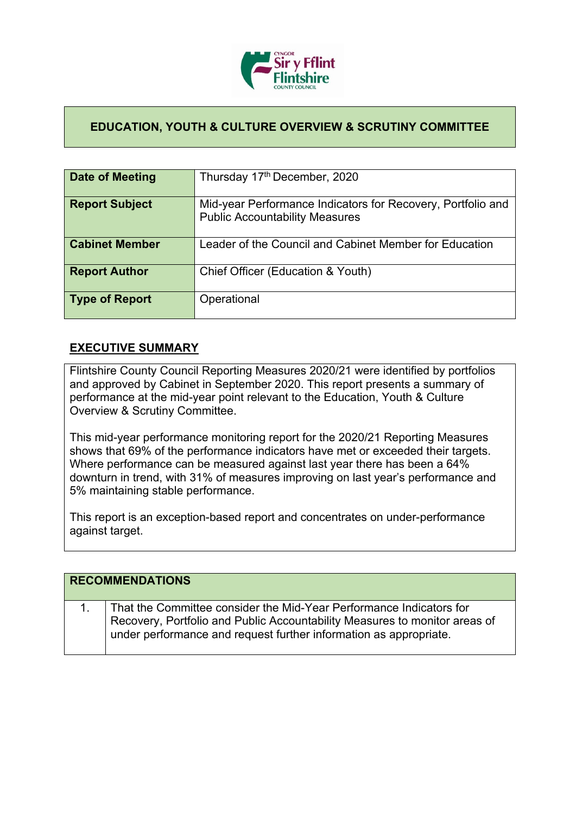

## **EDUCATION, YOUTH & CULTURE OVERVIEW & SCRUTINY COMMITTEE**

| <b>Date of Meeting</b> | Thursday 17th December, 2020                                                                         |
|------------------------|------------------------------------------------------------------------------------------------------|
| <b>Report Subject</b>  | Mid-year Performance Indicators for Recovery, Portfolio and<br><b>Public Accountability Measures</b> |
| <b>Cabinet Member</b>  | Leader of the Council and Cabinet Member for Education                                               |
| <b>Report Author</b>   | Chief Officer (Education & Youth)                                                                    |
| <b>Type of Report</b>  | Operational                                                                                          |

### **EXECUTIVE SUMMARY**

Flintshire County Council Reporting Measures 2020/21 were identified by portfolios and approved by Cabinet in September 2020. This report presents a summary of performance at the mid-year point relevant to the Education, Youth & Culture Overview & Scrutiny Committee.

This mid-year performance monitoring report for the 2020/21 Reporting Measures shows that 69% of the performance indicators have met or exceeded their targets. Where performance can be measured against last year there has been a 64% downturn in trend, with 31% of measures improving on last year's performance and 5% maintaining stable performance.

This report is an exception-based report and concentrates on under-performance against target.

| <b>RECOMMENDATIONS</b>                                                                                                                                                                                                 |  |
|------------------------------------------------------------------------------------------------------------------------------------------------------------------------------------------------------------------------|--|
| That the Committee consider the Mid-Year Performance Indicators for<br>Recovery, Portfolio and Public Accountability Measures to monitor areas of<br>under performance and request further information as appropriate. |  |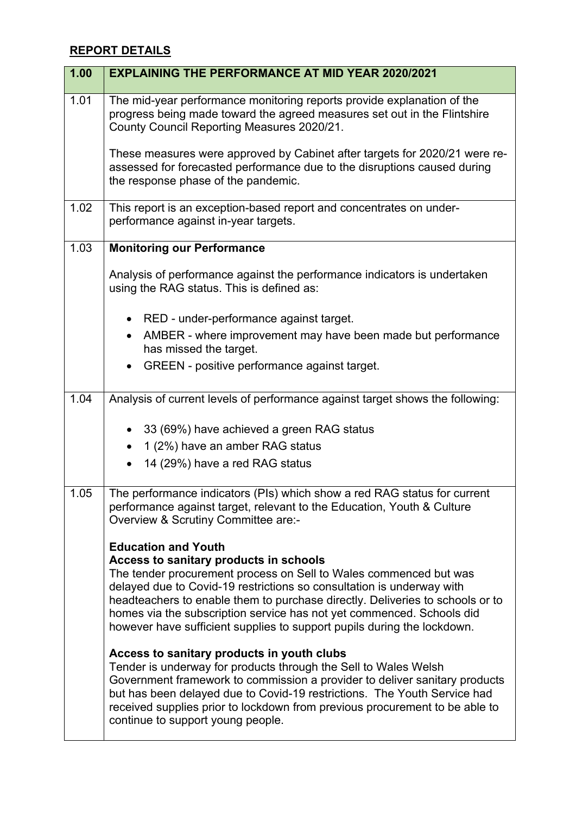# **REPORT DETAILS**

| 1.00 | <b>EXPLAINING THE PERFORMANCE AT MID YEAR 2020/2021</b>                                                                                                                                                                                                                                                                                                                                                                                                 |
|------|---------------------------------------------------------------------------------------------------------------------------------------------------------------------------------------------------------------------------------------------------------------------------------------------------------------------------------------------------------------------------------------------------------------------------------------------------------|
| 1.01 | The mid-year performance monitoring reports provide explanation of the<br>progress being made toward the agreed measures set out in the Flintshire<br>County Council Reporting Measures 2020/21.                                                                                                                                                                                                                                                        |
|      | These measures were approved by Cabinet after targets for 2020/21 were re-<br>assessed for forecasted performance due to the disruptions caused during<br>the response phase of the pandemic.                                                                                                                                                                                                                                                           |
| 1.02 | This report is an exception-based report and concentrates on under-<br>performance against in-year targets.                                                                                                                                                                                                                                                                                                                                             |
| 1.03 | <b>Monitoring our Performance</b>                                                                                                                                                                                                                                                                                                                                                                                                                       |
|      | Analysis of performance against the performance indicators is undertaken<br>using the RAG status. This is defined as:                                                                                                                                                                                                                                                                                                                                   |
|      | RED - under-performance against target.                                                                                                                                                                                                                                                                                                                                                                                                                 |
|      | AMBER - where improvement may have been made but performance<br>$\bullet$<br>has missed the target.                                                                                                                                                                                                                                                                                                                                                     |
|      | GREEN - positive performance against target.                                                                                                                                                                                                                                                                                                                                                                                                            |
| 1.04 | Analysis of current levels of performance against target shows the following:                                                                                                                                                                                                                                                                                                                                                                           |
|      | 33 (69%) have achieved a green RAG status                                                                                                                                                                                                                                                                                                                                                                                                               |
|      | 1 (2%) have an amber RAG status                                                                                                                                                                                                                                                                                                                                                                                                                         |
|      | 14 (29%) have a red RAG status                                                                                                                                                                                                                                                                                                                                                                                                                          |
| 1.05 | The performance indicators (PIs) which show a red RAG status for current<br>performance against target, relevant to the Education, Youth & Culture<br>Overview & Scrutiny Committee are:-                                                                                                                                                                                                                                                               |
|      | <b>Education and Youth</b><br>Access to sanitary products in schools<br>The tender procurement process on Sell to Wales commenced but was<br>delayed due to Covid-19 restrictions so consultation is underway with<br>headteachers to enable them to purchase directly. Deliveries to schools or to<br>homes via the subscription service has not yet commenced. Schools did<br>however have sufficient supplies to support pupils during the lockdown. |
|      | Access to sanitary products in youth clubs<br>Tender is underway for products through the Sell to Wales Welsh<br>Government framework to commission a provider to deliver sanitary products<br>but has been delayed due to Covid-19 restrictions. The Youth Service had<br>received supplies prior to lockdown from previous procurement to be able to<br>continue to support young people.                                                             |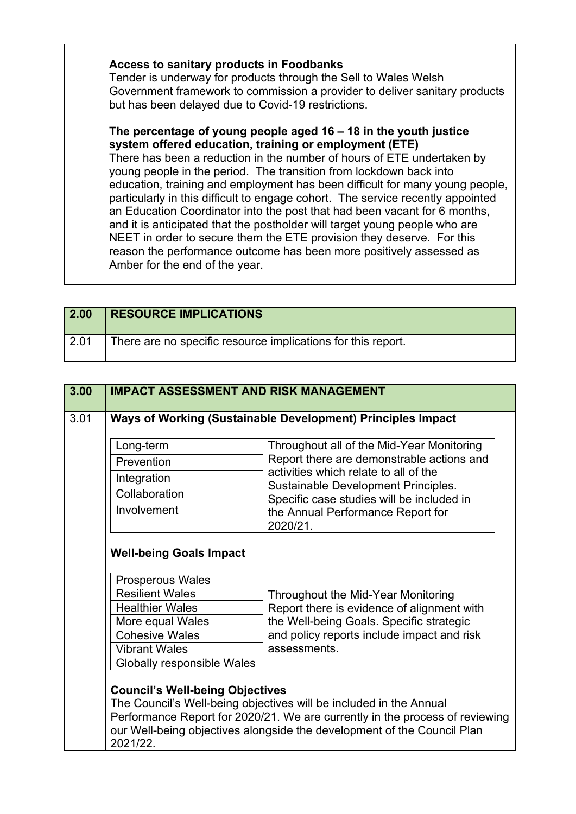### **Access to sanitary products in Foodbanks**

Tender is underway for products through the Sell to Wales Welsh Government framework to commission a provider to deliver sanitary products but has been delayed due to Covid-19 restrictions.

#### **The percentage of young people aged 16 – 18 in the youth justice system offered education, training or employment (ETE)**

There has been a reduction in the number of hours of ETE undertaken by young people in the period. The transition from lockdown back into education, training and employment has been difficult for many young people, particularly in this difficult to engage cohort. The service recently appointed an Education Coordinator into the post that had been vacant for 6 months, and it is anticipated that the postholder will target young people who are NEET in order to secure them the ETE provision they deserve. For this reason the performance outcome has been more positively assessed as Amber for the end of the year.

| 2.00 | <b>RESOURCE IMPLICATIONS</b>                                 |
|------|--------------------------------------------------------------|
| 2.01 | There are no specific resource implications for this report. |

|  | Long-term                                         | Throughout all of the Mid-Year Monitoring                                          |
|--|---------------------------------------------------|------------------------------------------------------------------------------------|
|  | Prevention                                        | Report there are demonstrable actions and<br>activities which relate to all of the |
|  | Integration                                       | Sustainable Development Principles.                                                |
|  | Collaboration                                     | Specific case studies will be included in                                          |
|  | Involvement                                       | the Annual Performance Report for<br>2020/21.                                      |
|  | <b>Well-being Goals Impact</b>                    |                                                                                    |
|  |                                                   |                                                                                    |
|  | <b>Prosperous Wales</b><br><b>Resilient Wales</b> | Throughout the Mid-Year Monitoring                                                 |
|  | <b>Healthier Wales</b>                            | Report there is evidence of alignment with                                         |
|  | More equal Wales                                  | the Well-being Goals. Specific strategic                                           |
|  | <b>Cohesive Wales</b>                             | and policy reports include impact and risk                                         |
|  | <b>Vibrant Wales</b>                              | assessments.                                                                       |
|  | <b>Globally responsible Wales</b>                 |                                                                                    |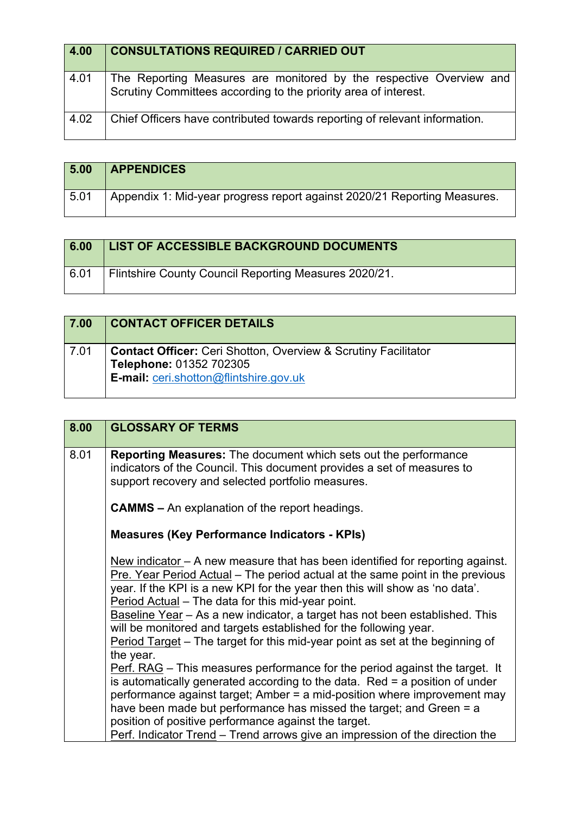| 4.00 | <b>CONSULTATIONS REQUIRED / CARRIED OUT</b>                                                                                            |
|------|----------------------------------------------------------------------------------------------------------------------------------------|
| 4.01 | The Reporting Measures are monitored by the respective Overview and<br>Scrutiny Committees according to the priority area of interest. |
| 4.02 | Chief Officers have contributed towards reporting of relevant information.                                                             |

| 5.00 | <b>APPENDICES</b>                                                        |
|------|--------------------------------------------------------------------------|
| 5.01 | Appendix 1: Mid-year progress report against 2020/21 Reporting Measures. |

| 6.00 | <b>LIST OF ACCESSIBLE BACKGROUND DOCUMENTS</b>        |
|------|-------------------------------------------------------|
| 6.01 | Flintshire County Council Reporting Measures 2020/21. |

| 7.00 | <b>CONTACT OFFICER DETAILS</b>                                                                                                                    |
|------|---------------------------------------------------------------------------------------------------------------------------------------------------|
| 7.01 | <b>Contact Officer:</b> Ceri Shotton, Overview & Scrutiny Facilitator<br>Telephone: 01352 702305<br><b>E-mail:</b> ceri.shotton@flintshire.gov.uk |

| 8.00 | <b>GLOSSARY OF TERMS</b>                                                                                                                                                                                                                                                                                                                                                                                                                                                                                                                                |
|------|---------------------------------------------------------------------------------------------------------------------------------------------------------------------------------------------------------------------------------------------------------------------------------------------------------------------------------------------------------------------------------------------------------------------------------------------------------------------------------------------------------------------------------------------------------|
| 8.01 | <b>Reporting Measures:</b> The document which sets out the performance<br>indicators of the Council. This document provides a set of measures to<br>support recovery and selected portfolio measures.                                                                                                                                                                                                                                                                                                                                                   |
|      | <b>CAMMS</b> – An explanation of the report headings.                                                                                                                                                                                                                                                                                                                                                                                                                                                                                                   |
|      | <b>Measures (Key Performance Indicators - KPIs)</b>                                                                                                                                                                                                                                                                                                                                                                                                                                                                                                     |
|      | New indicator $-$ A new measure that has been identified for reporting against.<br>Pre. Year Period Actual – The period actual at the same point in the previous<br>year. If the KPI is a new KPI for the year then this will show as 'no data'.<br>Period Actual - The data for this mid-year point.<br>Baseline Year - As a new indicator, a target has not been established. This<br>will be monitored and targets established for the following year.<br>Period Target - The target for this mid-year point as set at the beginning of<br>the year. |
|      | Perf. RAG - This measures performance for the period against the target. It<br>is automatically generated according to the data. Red = a position of under<br>performance against target; Amber = a mid-position where improvement may<br>have been made but performance has missed the target; and Green = a<br>position of positive performance against the target.                                                                                                                                                                                   |
|      | Perf. Indicator Trend – Trend arrows give an impression of the direction the                                                                                                                                                                                                                                                                                                                                                                                                                                                                            |